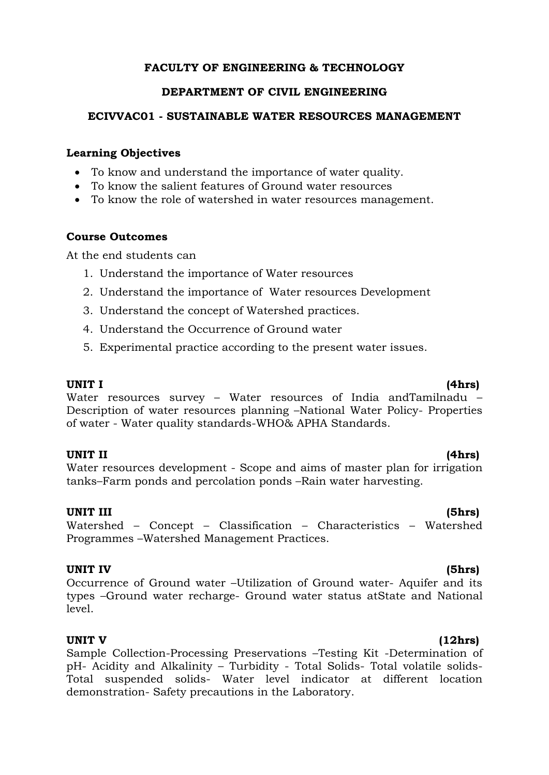# **FACULTY OF ENGINEERING & TECHNOLOGY**

## **DEPARTMENT OF CIVIL ENGINEERING**

## **ECIVVAC01 - SUSTAINABLE WATER RESOURCES MANAGEMENT**

## **Learning Objectives**

- To know and understand the importance of water quality.
- To know the salient features of Ground water resources
- To know the role of watershed in water resources management.

## **Course Outcomes**

At the end students can

- 1. Understand the importance of Water resources
- 2. Understand the importance of Water resources Development
- 3. Understand the concept of Watershed practices.
- 4. Understand the Occurrence of Ground water
- 5. Experimental practice according to the present water issues.

**UNIT I (4hrs)** Water resources survey - Water resources of India andTamilnadu -

Description of water resources planning –National Water Policy- Properties of water - Water quality standards-WHO& APHA Standards.

## **UNIT II (4hrs)**

Water resources development - Scope and aims of master plan for irrigation tanks–Farm ponds and percolation ponds –Rain water harvesting.

## **UNIT III (5hrs)**

Watershed – Concept – Classification – Characteristics – Watershed Programmes –Watershed Management Practices.

## **UNIT IV (5hrs)**

Occurrence of Ground water –Utilization of Ground water- Aquifer and its types –Ground water recharge- Ground water status atState and National level.

## **UNIT V (12hrs)**

Sample Collection-Processing Preservations –Testing Kit -Determination of pH- Acidity and Alkalinity – Turbidity - Total Solids- Total volatile solids-Total suspended solids- Water level indicator at different location demonstration- Safety precautions in the Laboratory.